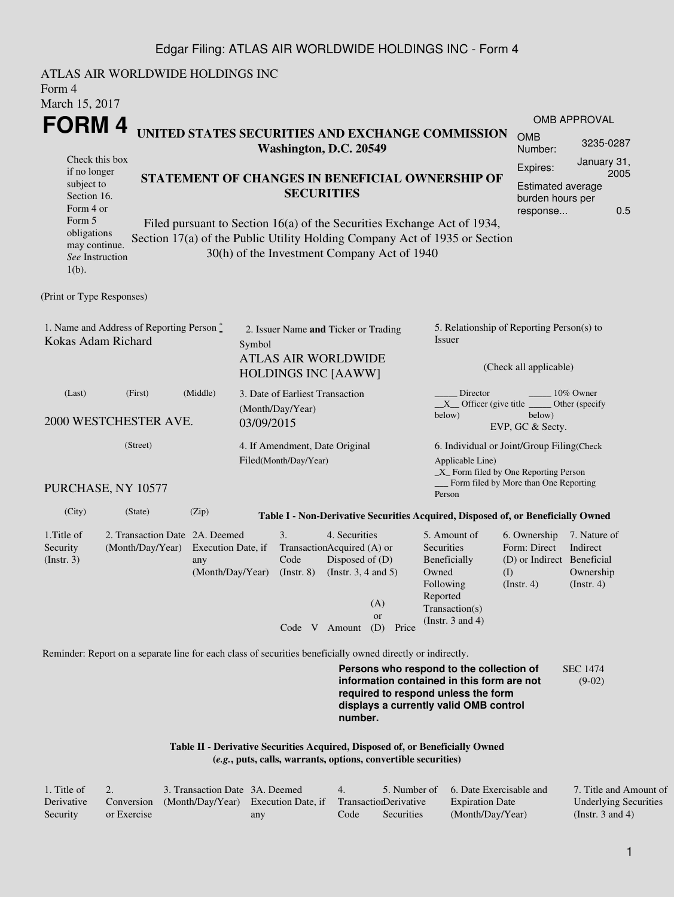### Edgar Filing: ATLAS AIR WORLDWIDE HOLDINGS INC - Form 4

ATLAS AIR WORLDWIDE HOLDINGS INC Form 4 March 15, 2017 **FORM 4** Check this box if no longer subject to Section 16. Form 4 or Form 5 obligations may continue. *See* Instruction 1(b). **UNITED STATES SECURITIES AND EXCHANGE COMMISSION Washington, D.C. 20549 STATEMENT OF CHANGES IN BENEFICIAL OWNERSHIP OF SECURITIES** Filed pursuant to Section 16(a) of the Securities Exchange Act of 1934, Section 17(a) of the Public Utility Holding Company Act of 1935 or Section 30(h) of the Investment Company Act of 1940 OMB APPROVAL OMB Number: 3235-0287 Expires: January 31, 2005 Estimated average burden hours per response... 0.5 (Print or Type Responses) 1. Name and Address of Reporting Person  $\degree$ Kokas Adam Richard 2. Issuer Name **and** Ticker or Trading Symbol ATLAS AIR WORLDWIDE HOLDINGS INC [AAWW] 5. Relationship of Reporting Person(s) to Issuer (Check all applicable) Director \_\_\_\_\_\_\_\_ 10% Owner \_\_X\_\_ Officer (give title below) Other (specify below) EVP, GC & Secty. (Last) (First) (Middle) 2000 WESTCHESTER AVE. 3. Date of Earliest Transaction (Month/Day/Year) 03/09/2015 (Street) PURCHASE, NY 10577 4. If Amendment, Date Original Filed(Month/Day/Year) 6. Individual or Joint/Group Filing(Check Applicable Line) \_X\_ Form filed by One Reporting Person Form filed by More than One Reporting Person (City) (State) (Zip) **Table I - Non-Derivative Securities Acquired, Disposed of, or Beneficially Owned** 1.Title of Security (Instr. 3) 2. Transaction Date 2A. Deemed (Month/Day/Year) Execution Date, if any (Month/Day/Year) 3. Transaction Acquired (A) or Code (Instr. 8) 4. Securities Disposed of (D) (Instr. 3, 4 and 5) 5. Amount of **Securities** Beneficially Owned Following Reported Transaction(s) (Instr. 3 and 4) 6. Ownership Form: Direct (D) or Indirect Beneficial (I) (Instr. 4) 7. Nature of Indirect Ownership (Instr. 4) Code V Amount (D) Price (A) or Reminder: Report on a separate line for each class of securities beneficially owned directly or indirectly. **Persons who respond to the collection of information contained in this form are not required to respond unless the form displays a currently valid OMB control number.** SEC 1474 (9-02)

#### **Table II - Derivative Securities Acquired, Disposed of, or Beneficially Owned (***e.g.***, puts, calls, warrants, options, convertible securities)**

| . Title of |             | 3. Transaction Date 3A. Deemed                                        |     | $\overline{4}$ |            | 5. Number of 6. Date Exercisable and | 7. Title and Amount of       |
|------------|-------------|-----------------------------------------------------------------------|-----|----------------|------------|--------------------------------------|------------------------------|
| Derivative |             | Conversion (Month/Day/Year) Execution Date, if Transaction Derivative |     |                |            | <b>Expiration Date</b>               | <b>Underlying Securities</b> |
| Security   | or Exercise |                                                                       | any | Code           | Securities | (Month/Day/Year)                     | (Instr. 3 and 4)             |